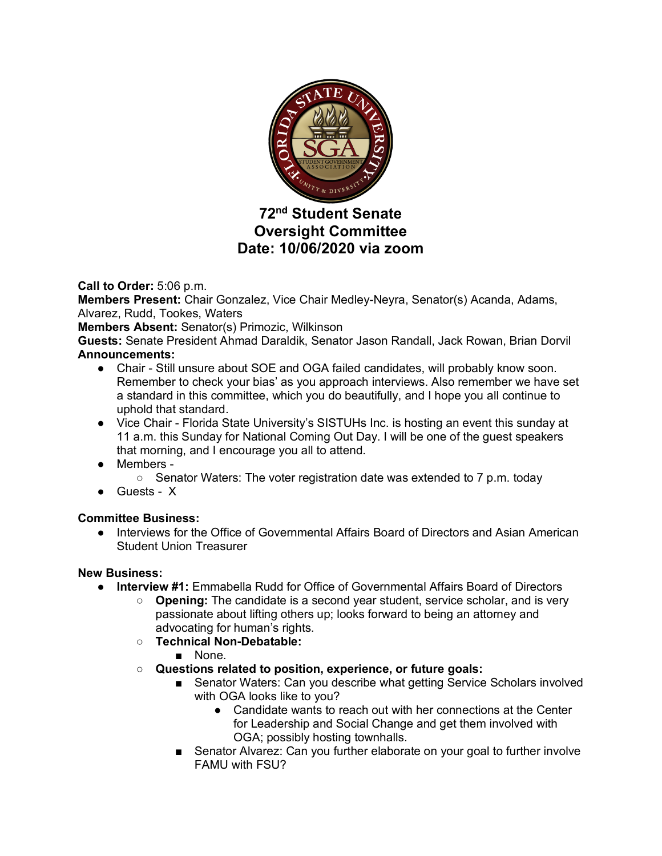

# **72nd Student Senate Oversight Committee Date: 10/06/2020 via zoom**

**Call to Order:** 5:06 p.m.

**Members Present:** Chair Gonzalez, Vice Chair Medley-Neyra, Senator(s) Acanda, Adams, Alvarez, Rudd, Tookes, Waters

**Members Absent:** Senator(s) Primozic, Wilkinson

**Guests:** Senate President Ahmad Daraldik, Senator Jason Randall, Jack Rowan, Brian Dorvil **Announcements:**

- Chair Still unsure about SOE and OGA failed candidates, will probably know soon. Remember to check your bias' as you approach interviews. Also remember we have set a standard in this committee, which you do beautifully, and I hope you all continue to uphold that standard.
- Vice Chair Florida State University's SISTUHs Inc. is hosting an event this sunday at 11 a.m. this Sunday for National Coming Out Day. I will be one of the guest speakers that morning, and I encourage you all to attend.
- Members
	- $\circ$  Senator Waters: The voter registration date was extended to 7 p.m. today
- Guests X

### **Committee Business:**

● Interviews for the Office of Governmental Affairs Board of Directors and Asian American Student Union Treasurer

### **New Business:**

- **Interview #1:** Emmabella Rudd for Office of Governmental Affairs Board of Directors
	- **Opening:** The candidate is a second year student, service scholar, and is very passionate about lifting others up; looks forward to being an attorney and advocating for human's rights.
	- **Technical Non-Debatable:**
		- None.
	- **Questions related to position, experience, or future goals:**
		- Senator Waters: Can you describe what getting Service Scholars involved with OGA looks like to you?
			- Candidate wants to reach out with her connections at the Center for Leadership and Social Change and get them involved with OGA; possibly hosting townhalls.
		- Senator Alvarez: Can you further elaborate on your goal to further involve FAMU with FSU?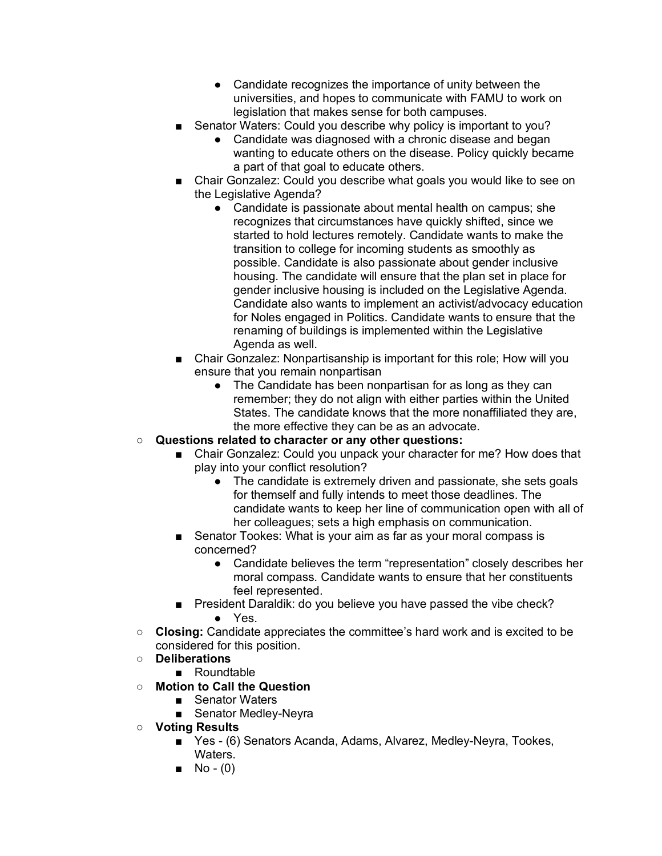- Candidate recognizes the importance of unity between the universities, and hopes to communicate with FAMU to work on legislation that makes sense for both campuses.
- Senator Waters: Could you describe why policy is important to you?
	- Candidate was diagnosed with a chronic disease and began wanting to educate others on the disease. Policy quickly became a part of that goal to educate others.
- Chair Gonzalez: Could you describe what goals you would like to see on the Legislative Agenda?
	- Candidate is passionate about mental health on campus; she recognizes that circumstances have quickly shifted, since we started to hold lectures remotely. Candidate wants to make the transition to college for incoming students as smoothly as possible. Candidate is also passionate about gender inclusive housing. The candidate will ensure that the plan set in place for gender inclusive housing is included on the Legislative Agenda. Candidate also wants to implement an activist/advocacy education for Noles engaged in Politics. Candidate wants to ensure that the renaming of buildings is implemented within the Legislative Agenda as well.
- Chair Gonzalez: Nonpartisanship is important for this role; How will you ensure that you remain nonpartisan
	- The Candidate has been nonpartisan for as long as they can remember; they do not align with either parties within the United States. The candidate knows that the more nonaffiliated they are, the more effective they can be as an advocate.

## ○ **Questions related to character or any other questions:**

- Chair Gonzalez: Could you unpack your character for me? How does that play into your conflict resolution?
	- The candidate is extremely driven and passionate, she sets goals for themself and fully intends to meet those deadlines. The candidate wants to keep her line of communication open with all of her colleagues; sets a high emphasis on communication.
- Senator Tookes: What is your aim as far as your moral compass is concerned?
	- Candidate believes the term "representation" closely describes her moral compass. Candidate wants to ensure that her constituents feel represented.
- President Daraldik: do you believe you have passed the vibe check? ● Yes.
- **Closing:** Candidate appreciates the committee's hard work and is excited to be considered for this position.
- **Deliberations**
	- Roundtable
- **Motion to Call the Question**
	- Senator Waters
	- Senator Medley-Neyra
- **Voting Results**
	- Yes (6) Senators Acanda, Adams, Alvarez, Medley-Neyra, Tookes, Waters.
	- $\blacksquare$  No (0)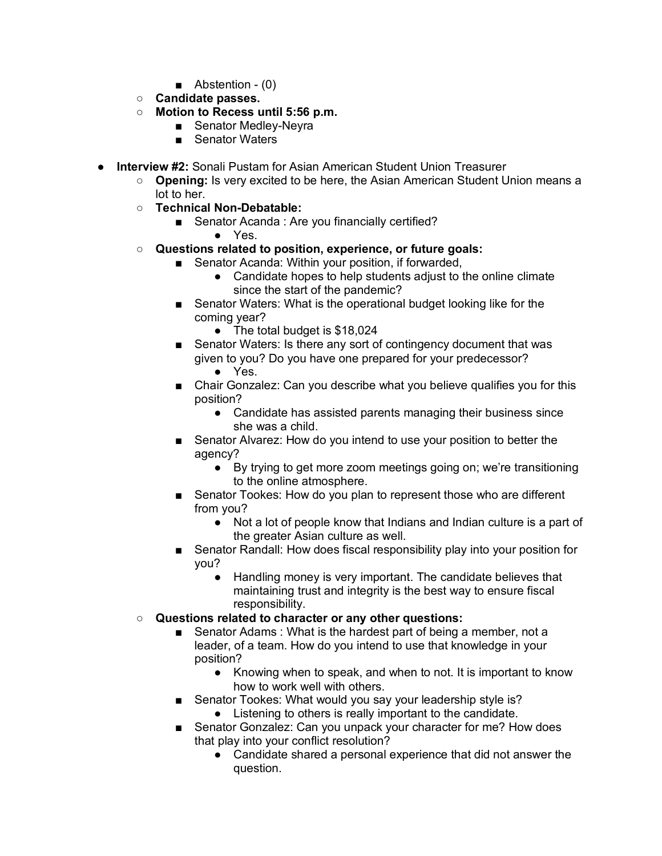- Abstention (0)
- **Candidate passes.**
- **Motion to Recess until 5:56 p.m.**
	- Senator Medley-Neyra
	- Senator Waters
- **Interview #2:** Sonali Pustam for Asian American Student Union Treasurer
	- **Opening:** Is very excited to be here, the Asian American Student Union means a lot to her.
	- **Technical Non-Debatable:**
		- Senator Acanda : Are you financially certified?
			- Yes.
	- **Questions related to position, experience, or future goals:**
		- Senator Acanda: Within your position, if forwarded,
			- Candidate hopes to help students adjust to the online climate since the start of the pandemic?
		- Senator Waters: What is the operational budget looking like for the coming year?
			- The total budget is \$18,024
		- Senator Waters: Is there any sort of contingency document that was given to you? Do you have one prepared for your predecessor? ● Yes.
		- Chair Gonzalez: Can you describe what you believe qualifies you for this position?
			- Candidate has assisted parents managing their business since she was a child.
		- Senator Alvarez: How do you intend to use your position to better the agency?
			- By trying to get more zoom meetings going on; we're transitioning to the online atmosphere.
		- Senator Tookes: How do you plan to represent those who are different from you?
			- Not a lot of people know that Indians and Indian culture is a part of the greater Asian culture as well.
		- Senator Randall: How does fiscal responsibility play into your position for you?
			- Handling money is very important. The candidate believes that maintaining trust and integrity is the best way to ensure fiscal responsibility.
	- **Questions related to character or any other questions:**
		- Senator Adams : What is the hardest part of being a member, not a leader, of a team. How do you intend to use that knowledge in your position?
			- Knowing when to speak, and when to not. It is important to know how to work well with others.
		- Senator Tookes: What would you say your leadership style is? ● Listening to others is really important to the candidate.
			- Senator Gonzalez: Can you unpack your character for me? How does that play into your conflict resolution?
				- Candidate shared a personal experience that did not answer the question.